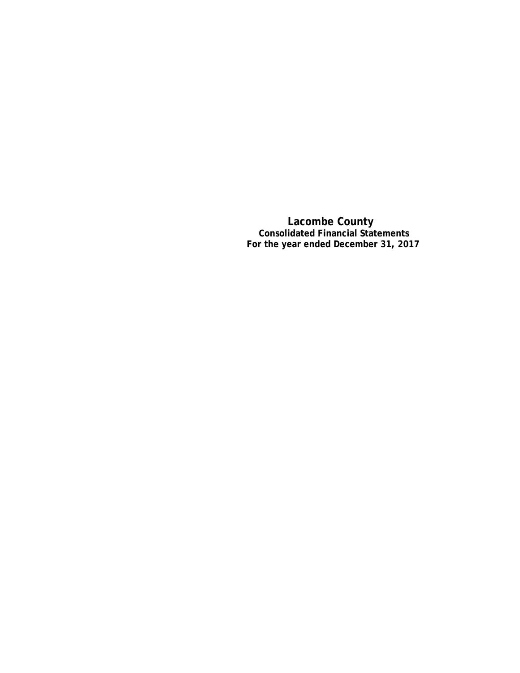**Lacombe County Consolidated Financial Statements For the year ended December 31, 2017**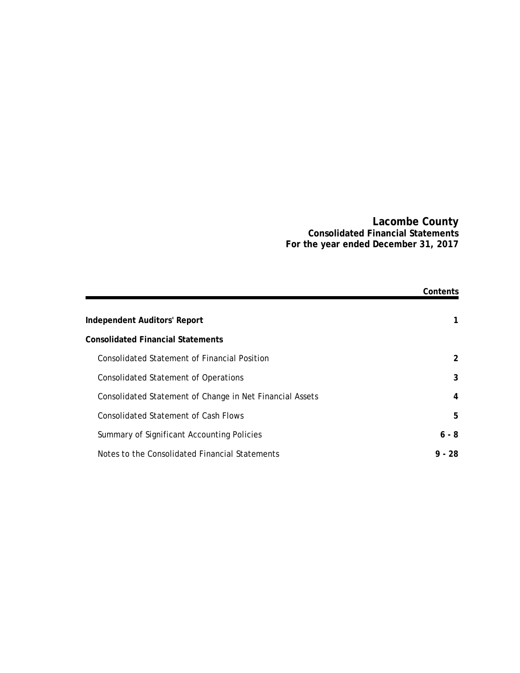## **Lacombe County Consolidated Financial Statements For the year ended December 31, 2017**

|                                                          | Contents |
|----------------------------------------------------------|----------|
| <b>Independent Auditors' Report</b>                      | 1        |
| <b>Consolidated Financial Statements</b>                 |          |
| Consolidated Statement of Financial Position             | 2        |
| Consolidated Statement of Operations                     | 3        |
| Consolidated Statement of Change in Net Financial Assets | 4        |
| Consolidated Statement of Cash Flows                     | 5        |
| Summary of Significant Accounting Policies               | $6 - 8$  |
| Notes to the Consolidated Financial Statements           | $9 - 28$ |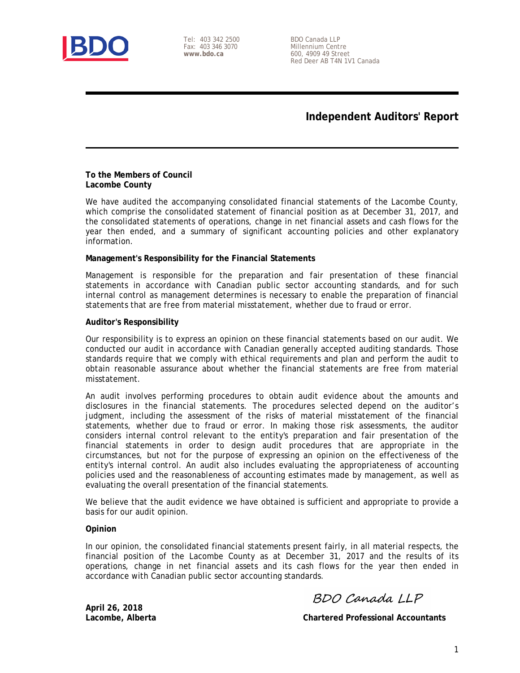

Tel: 403 342 2500 Fax: 403 346 3070 **www.bdo.ca**

BDO Canada LLP Millennium Centre 600, 4909 49 Street Red Deer AB T4N 1V1 Canada

# **Independent Auditors' Report**

### **To the Members of Council Lacombe County**

We have audited the accompanying consolidated financial statements of the Lacombe County, which comprise the consolidated statement of financial position as at December 31, 2017, and the consolidated statements of operations, change in net financial assets and cash flows for the year then ended, and a summary of significant accounting policies and other explanatory information.

### **Management's Responsibility for the Financial Statements**

Management is responsible for the preparation and fair presentation of these financial statements in accordance with Canadian public sector accounting standards, and for such internal control as management determines is necessary to enable the preparation of financial statements that are free from material misstatement, whether due to fraud or error.

### **Auditor's Responsibility**

Our responsibility is to express an opinion on these financial statements based on our audit. We conducted our audit in accordance with Canadian generally accepted auditing standards. Those standards require that we comply with ethical requirements and plan and perform the audit to obtain reasonable assurance about whether the financial statements are free from material misstatement.

An audit involves performing procedures to obtain audit evidence about the amounts and disclosures in the financial statements. The procedures selected depend on the auditor's judgment, including the assessment of the risks of material misstatement of the financial statements, whether due to fraud or error. In making those risk assessments, the auditor considers internal control relevant to the entity's preparation and fair presentation of the financial statements in order to design audit procedures that are appropriate in the circumstances, but not for the purpose of expressing an opinion on the effectiveness of the entity's internal control. An audit also includes evaluating the appropriateness of accounting policies used and the reasonableness of accounting estimates made by management, as well as evaluating the overall presentation of the financial statements.

We believe that the audit evidence we have obtained is sufficient and appropriate to provide a basis for our audit opinion.

### **Opinion**

In our opinion, the consolidated financial statements present fairly, in all material respects, the financial position of the Lacombe County as at December 31, 2017 and the results of its operations, change in net financial assets and its cash flows for the year then ended in accordance with Canadian public sector accounting standards.

**April 26, 2018**

BDO Canada LLP

**Lacombe, Alberta Chartered Professional Accountants**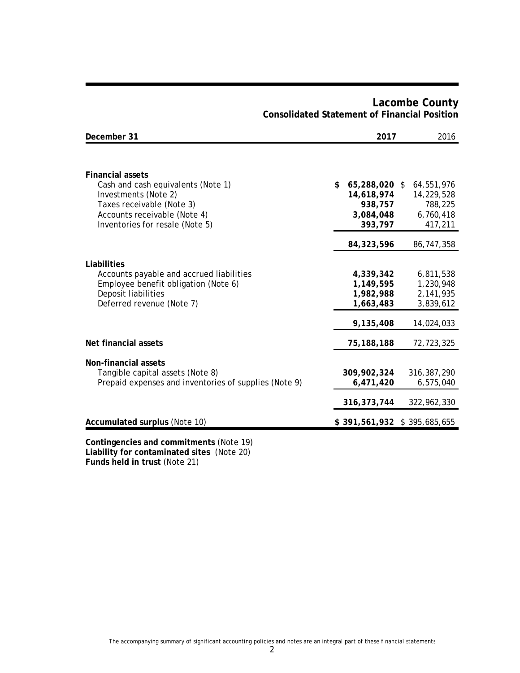| December 31                                                                                                                                                                           | 2017                                                                 | 2016                                                        |
|---------------------------------------------------------------------------------------------------------------------------------------------------------------------------------------|----------------------------------------------------------------------|-------------------------------------------------------------|
|                                                                                                                                                                                       |                                                                      |                                                             |
| <b>Financial assets</b><br>Cash and cash equivalents (Note 1)<br>Investments (Note 2)<br>Taxes receivable (Note 3)<br>Accounts receivable (Note 4)<br>Inventories for resale (Note 5) | \$<br>65,288,020 \$<br>14,618,974<br>938,757<br>3,084,048<br>393,797 | 64,551,976<br>14,229,528<br>788,225<br>6,760,418<br>417,211 |
|                                                                                                                                                                                       | 84,323,596                                                           | 86,747,358                                                  |
| Liabilities                                                                                                                                                                           |                                                                      |                                                             |
| Accounts payable and accrued liabilities<br>Employee benefit obligation (Note 6)                                                                                                      | 4,339,342<br>1,149,595                                               | 6,811,538<br>1,230,948                                      |
| Deposit liabilities                                                                                                                                                                   | 1,982,988                                                            | 2,141,935                                                   |
| Deferred revenue (Note 7)                                                                                                                                                             | 1,663,483                                                            | 3,839,612                                                   |
|                                                                                                                                                                                       | 9,135,408                                                            | 14,024,033                                                  |
| Net financial assets                                                                                                                                                                  | 75,188,188                                                           | 72,723,325                                                  |
| Non-financial assets                                                                                                                                                                  |                                                                      |                                                             |
| Tangible capital assets (Note 8)                                                                                                                                                      | 309,902,324                                                          | 316, 387, 290                                               |
| Prepaid expenses and inventories of supplies (Note 9)                                                                                                                                 | 6,471,420                                                            | 6,575,040                                                   |
|                                                                                                                                                                                       | 316, 373, 744                                                        | 322, 962, 330                                               |
| <b>Accumulated surplus (Note 10)</b>                                                                                                                                                  |                                                                      | \$391,561,932 \$395,685,655                                 |
| Contingencies and commitments (Note 19)                                                                                                                                               |                                                                      |                                                             |

# **Lacombe County Consolidated Statement of Financial Position**

**Liability for contaminated sites** (Note 20) **Funds held in trust** (Note 21)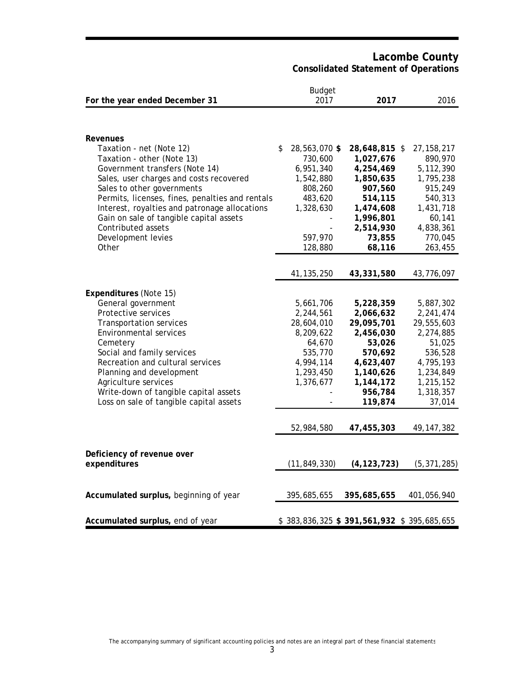**Lacombe County Consolidated Statement of Operations**

|                                                 | <b>Budget</b>       |                                              |               |
|-------------------------------------------------|---------------------|----------------------------------------------|---------------|
| For the year ended December 31                  | 2017                | 2017                                         | 2016          |
|                                                 |                     |                                              |               |
|                                                 |                     |                                              |               |
|                                                 |                     |                                              |               |
| Revenues                                        |                     |                                              |               |
| Taxation - net (Note 12)                        | \$<br>28,563,070 \$ | 28,648,815 \$                                | 27, 158, 217  |
| Taxation - other (Note 13)                      | 730,600             | 1,027,676                                    | 890,970       |
| Government transfers (Note 14)                  | 6,951,340           | 4,254,469                                    | 5,112,390     |
| Sales, user charges and costs recovered         | 1,542,880           | 1,850,635                                    | 1,795,238     |
| Sales to other governments                      | 808,260             | 907,560                                      | 915,249       |
| Permits, licenses, fines, penalties and rentals | 483,620             | 514,115                                      | 540,313       |
| Interest, royalties and patronage allocations   | 1,328,630           | 1,474,608                                    | 1,431,718     |
| Gain on sale of tangible capital assets         |                     | 1,996,801                                    | 60,141        |
| Contributed assets                              |                     | 2,514,930                                    | 4,838,361     |
| Development levies                              | 597,970             | 73,855                                       | 770,045       |
| Other                                           | 128,880             | 68,116                                       | 263,455       |
|                                                 |                     |                                              |               |
|                                                 | 41, 135, 250        | 43,331,580                                   | 43,776,097    |
|                                                 |                     |                                              |               |
| <b>Expenditures (Note 15)</b>                   |                     |                                              |               |
| General government                              | 5,661,706           | 5,228,359                                    | 5,887,302     |
| Protective services                             | 2,244,561           | 2,066,632                                    | 2,241,474     |
| <b>Transportation services</b>                  | 28,604,010          | 29,095,701                                   | 29,555,603    |
| <b>Environmental services</b>                   | 8,209,622           | 2,456,030                                    | 2,274,885     |
| Cemetery                                        | 64,670              | 53,026                                       | 51,025        |
| Social and family services                      | 535,770             | 570,692                                      | 536,528       |
| Recreation and cultural services                | 4,994,114           | 4,623,407                                    | 4,795,193     |
| Planning and development                        | 1,293,450           | 1,140,626                                    | 1,234,849     |
| Agriculture services                            | 1,376,677           | 1,144,172                                    | 1,215,152     |
| Write-down of tangible capital assets           |                     | 956,784                                      | 1,318,357     |
| Loss on sale of tangible capital assets         |                     | 119,874                                      | 37,014        |
|                                                 |                     |                                              |               |
|                                                 | 52,984,580          | 47,455,303                                   | 49, 147, 382  |
|                                                 |                     |                                              |               |
| Deficiency of revenue over                      |                     |                                              |               |
| expenditures                                    | (11, 849, 330)      | (4, 123, 723)                                | (5, 371, 285) |
|                                                 |                     |                                              |               |
|                                                 |                     |                                              |               |
| Accumulated surplus, beginning of year          | 395,685,655         | 395,685,655                                  | 401,056,940   |
|                                                 |                     |                                              |               |
|                                                 |                     |                                              |               |
| Accumulated surplus, end of year                |                     | \$ 383,836,325 \$ 391,561,932 \$ 395,685,655 |               |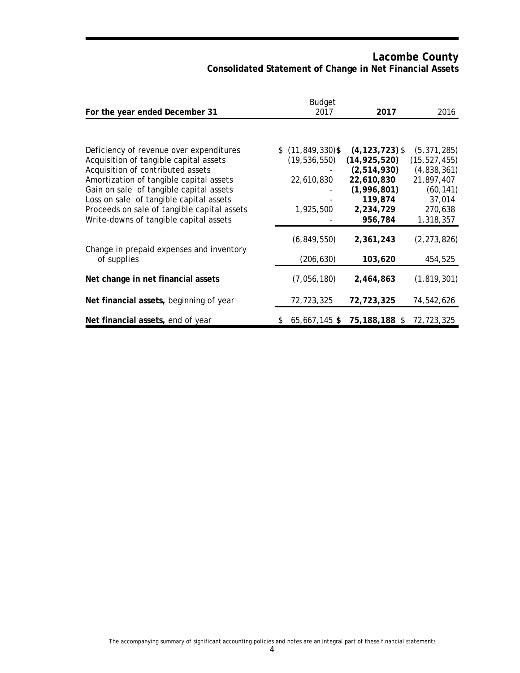# **Lacombe County Consolidated Statement of Change in Net Financial Assets**

|                                             |    | Budget               |                    |                |
|---------------------------------------------|----|----------------------|--------------------|----------------|
| For the year ended December 31              |    | 2017                 | 2017               | 2016           |
|                                             |    |                      |                    |                |
| Deficiency of revenue over expenditures     |    | $$(11, 849, 330)$ \$ | $(4, 123, 723)$ \$ | (5, 371, 285)  |
| Acquisition of tangible capital assets      |    | (19, 536, 550)       | (14, 925, 520)     | (15, 527, 455) |
| Acquisition of contributed assets           |    |                      | (2,514,930)        | (4,838,361)    |
| Amortization of tangible capital assets     |    | 22,610,830           | 22,610,830         | 21,897,407     |
| Gain on sale of tangible capital assets     |    |                      | (1,996,801)        | (60, 141)      |
| Loss on sale of tangible capital assets     |    |                      | 119,874            | 37,014         |
| Proceeds on sale of tangible capital assets |    | 1,925,500            | 2,234,729          | 270,638        |
| Write-downs of tangible capital assets      |    |                      | 956,784            | 1,318,357      |
| Change in prepaid expenses and inventory    |    | (6, 849, 550)        | 2,361,243          | (2, 273, 826)  |
| of supplies                                 |    | (206, 630)           | 103,620            | 454,525        |
| Net change in net financial assets          |    | (7,056,180)          | 2,464,863          | (1, 819, 301)  |
| Net financial assets, beginning of year     |    | 72,723,325           | 72,723,325         | 74,542,626     |
| Net financial assets, end of year           | S. | 65,667,145 \$        | 75,188,188 \$      | 72,723,325     |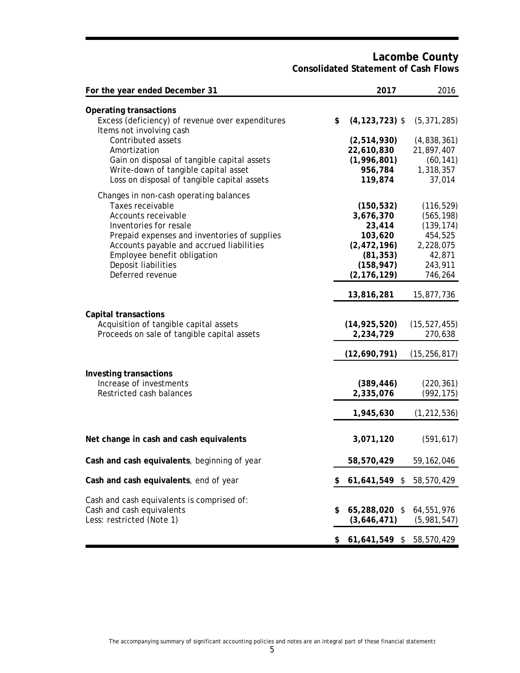## **Lacombe County Consolidated Statement of Cash Flows**

| For the year ended December 31                                                                                                                                                                                                                                                            | 2017                                                                                                      | 2016                                                                                           |
|-------------------------------------------------------------------------------------------------------------------------------------------------------------------------------------------------------------------------------------------------------------------------------------------|-----------------------------------------------------------------------------------------------------------|------------------------------------------------------------------------------------------------|
| <b>Operating transactions</b><br>Excess (deficiency) of revenue over expenditures<br>Items not involving cash<br>Contributed assets<br>Amortization<br>Gain on disposal of tangible capital assets<br>Write-down of tangible capital asset<br>Loss on disposal of tangible capital assets | $(4, 123, 723)$ \$<br>\$<br>(2,514,930)<br>22,610,830<br>(1,996,801)<br>956,784<br>119,874                | (5, 371, 285)<br>(4,838,361)<br>21,897,407<br>(60, 141)<br>1,318,357<br>37,014                 |
| Changes in non-cash operating balances<br>Taxes receivable<br>Accounts receivable<br>Inventories for resale<br>Prepaid expenses and inventories of supplies<br>Accounts payable and accrued liabilities<br>Employee benefit obligation<br>Deposit liabilities<br>Deferred revenue         | (150, 532)<br>3,676,370<br>23,414<br>103,620<br>(2, 472, 196)<br>(81, 353)<br>(158, 947)<br>(2, 176, 129) | (116, 529)<br>(565, 198)<br>(139, 174)<br>454,525<br>2,228,075<br>42,871<br>243,911<br>746,264 |
| <b>Capital transactions</b><br>Acquisition of tangible capital assets<br>Proceeds on sale of tangible capital assets                                                                                                                                                                      | 13,816,281<br>(14, 925, 520)<br>2,234,729                                                                 | 15,877,736<br>(15, 527, 455)<br>270,638                                                        |
| Investing transactions<br>Increase of investments<br>Restricted cash balances                                                                                                                                                                                                             | (12,690,791)<br>(389, 446)<br>2,335,076                                                                   | (15, 256, 817)<br>(220, 361)<br>(992, 175)                                                     |
| Net change in cash and cash equivalents                                                                                                                                                                                                                                                   | 1,945,630<br>3,071,120                                                                                    | (1, 212, 536)<br>(591, 617)                                                                    |
| Cash and cash equivalents, beginning of year                                                                                                                                                                                                                                              | 58,570,429                                                                                                | 59, 162, 046                                                                                   |
| Cash and cash equivalents, end of year                                                                                                                                                                                                                                                    | 61,641,549 \$ 58,570,429<br>\$                                                                            |                                                                                                |
| Cash and cash equivalents is comprised of:<br>Cash and cash equivalents<br>Less: restricted (Note 1)                                                                                                                                                                                      | \$<br>65,288,020 \$ 64,551,976<br>(3,646,471)                                                             | (5,981,547)                                                                                    |
|                                                                                                                                                                                                                                                                                           | 61,641,549 \$ 58,570,429<br>\$                                                                            |                                                                                                |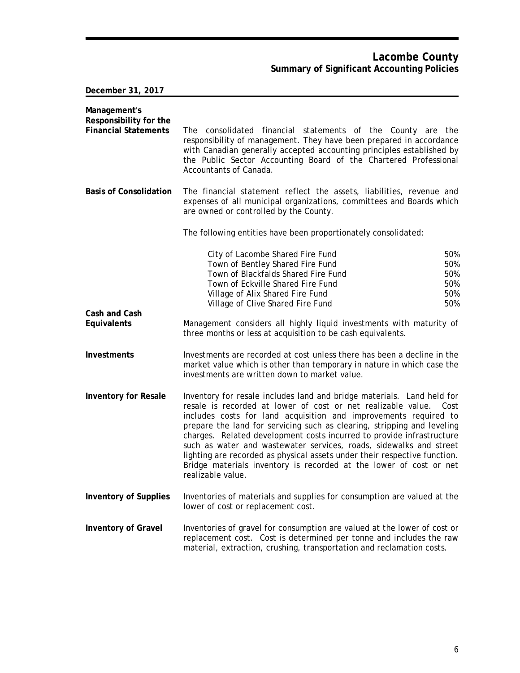## **Lacombe County Summary of Significant Accounting Policies**

**December 31, 2017**

| Management's<br>Responsibility for the<br><b>Financial Statements</b> | The consolidated financial statements of the County are the<br>responsibility of management. They have been prepared in accordance<br>with Canadian generally accepted accounting principles established by<br>the Public Sector Accounting Board of the Chartered Professional<br>Accountants of Canada.                                                                                                                                                                                                                                                                                                    |                                        |
|-----------------------------------------------------------------------|--------------------------------------------------------------------------------------------------------------------------------------------------------------------------------------------------------------------------------------------------------------------------------------------------------------------------------------------------------------------------------------------------------------------------------------------------------------------------------------------------------------------------------------------------------------------------------------------------------------|----------------------------------------|
| <b>Basis of Consolidation</b>                                         | The financial statement reflect the assets, liabilities, revenue and<br>expenses of all municipal organizations, committees and Boards which<br>are owned or controlled by the County.                                                                                                                                                                                                                                                                                                                                                                                                                       |                                        |
|                                                                       | The following entities have been proportionately consolidated:                                                                                                                                                                                                                                                                                                                                                                                                                                                                                                                                               |                                        |
|                                                                       | City of Lacombe Shared Fire Fund<br>Town of Bentley Shared Fire Fund<br>Town of Blackfalds Shared Fire Fund<br>Town of Eckville Shared Fire Fund<br>Village of Alix Shared Fire Fund<br>Village of Clive Shared Fire Fund                                                                                                                                                                                                                                                                                                                                                                                    | 50%<br>50%<br>50%<br>50%<br>50%<br>50% |
| Cash and Cash<br>Equivalents                                          | Management considers all highly liquid investments with maturity of<br>three months or less at acquisition to be cash equivalents.                                                                                                                                                                                                                                                                                                                                                                                                                                                                           |                                        |
| Investments                                                           | Investments are recorded at cost unless there has been a decline in the<br>market value which is other than temporary in nature in which case the<br>investments are written down to market value.                                                                                                                                                                                                                                                                                                                                                                                                           |                                        |
| <b>Inventory for Resale</b>                                           | Inventory for resale includes land and bridge materials. Land held for<br>resale is recorded at lower of cost or net realizable value.<br>includes costs for land acquisition and improvements required to<br>prepare the land for servicing such as clearing, stripping and leveling<br>charges. Related development costs incurred to provide infrastructure<br>such as water and wastewater services, roads, sidewalks and street<br>lighting are recorded as physical assets under their respective function.<br>Bridge materials inventory is recorded at the lower of cost or net<br>realizable value. | Cost                                   |
| <b>Inventory of Supplies</b>                                          | Inventories of materials and supplies for consumption are valued at the<br>lower of cost or replacement cost.                                                                                                                                                                                                                                                                                                                                                                                                                                                                                                |                                        |
| <b>Inventory of Gravel</b>                                            | Inventories of gravel for consumption are valued at the lower of cost or<br>replacement cost. Cost is determined per tonne and includes the raw<br>material, extraction, crushing, transportation and reclamation costs.                                                                                                                                                                                                                                                                                                                                                                                     |                                        |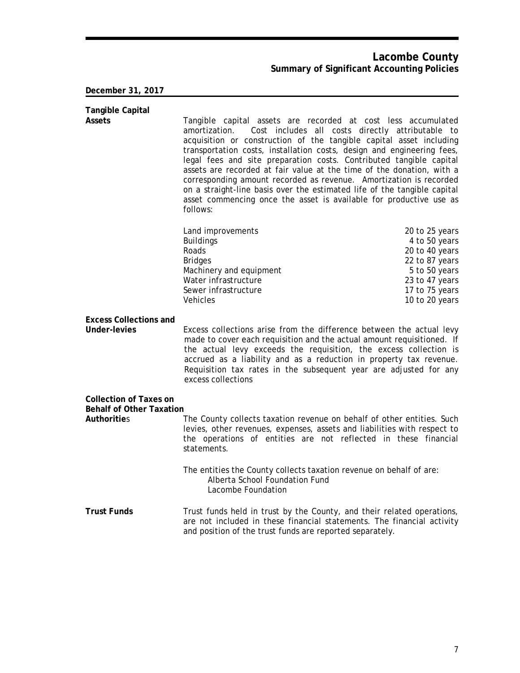## **Lacombe County Summary of Significant Accounting Policies**

#### **December 31, 2017**

| <b>Tangible Capital</b><br><b>Assets</b>                         | Tangible capital assets are recorded at cost less accumulated<br>Cost includes all costs directly attributable to<br>amortization.<br>acquisition or construction of the tangible capital asset including<br>transportation costs, installation costs, design and engineering fees,<br>legal fees and site preparation costs. Contributed tangible capital<br>assets are recorded at fair value at the time of the donation, with a<br>corresponding amount recorded as revenue. Amortization is recorded<br>on a straight-line basis over the estimated life of the tangible capital<br>asset commencing once the asset is available for productive use as<br>follows: |                                                                                                                                            |
|------------------------------------------------------------------|-------------------------------------------------------------------------------------------------------------------------------------------------------------------------------------------------------------------------------------------------------------------------------------------------------------------------------------------------------------------------------------------------------------------------------------------------------------------------------------------------------------------------------------------------------------------------------------------------------------------------------------------------------------------------|--------------------------------------------------------------------------------------------------------------------------------------------|
|                                                                  | Land improvements<br><b>Buildings</b><br>Roads<br><b>Bridges</b><br>Machinery and equipment<br>Water infrastructure<br>Sewer infrastructure<br><b>Vehicles</b>                                                                                                                                                                                                                                                                                                                                                                                                                                                                                                          | 20 to 25 years<br>4 to 50 years<br>20 to 40 years<br>22 to 87 years<br>5 to 50 years<br>23 to 47 years<br>17 to 75 years<br>10 to 20 years |
| <b>Excess Collections and</b><br><b>Under-levies</b>             | Excess collections arise from the difference between the actual levy<br>made to cover each requisition and the actual amount requisitioned. If<br>the actual levy exceeds the requisition, the excess collection is<br>accrued as a liability and as a reduction in property tax revenue.<br>Requisition tax rates in the subsequent year are adjusted for any<br>excess collections                                                                                                                                                                                                                                                                                    |                                                                                                                                            |
| <b>Collection of Taxes on</b><br><b>Behalf of Other Taxation</b> |                                                                                                                                                                                                                                                                                                                                                                                                                                                                                                                                                                                                                                                                         |                                                                                                                                            |

Authorities The County collects taxation revenue on behalf of other entities. Such levies, other revenues, expenses, assets and liabilities with respect to the operations of entities are not reflected in these financial statements.

> The entities the County collects taxation revenue on behalf of are: Alberta School Foundation Fund Lacombe Foundation

**Trust Funds** Trust funds held in trust by the County, and their related operations, are not included in these financial statements. The financial activity and position of the trust funds are reported separately.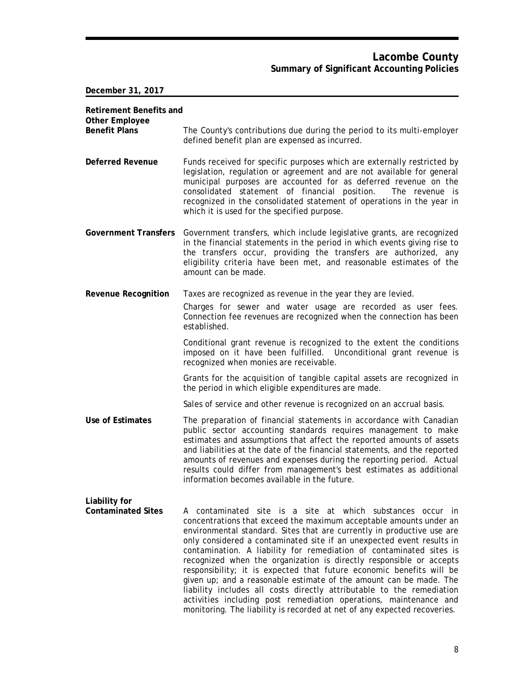## **Lacombe County Summary of Significant Accounting Policies**

**December 31, 2017**

| <b>Retirement Benefits and</b><br><b>Other Employee</b> |                                                                                                                                                                                                                                                                                                                                                                                                                                                                                                                                                                                                                                                                                                                                                                                                           |  |  |  |
|---------------------------------------------------------|-----------------------------------------------------------------------------------------------------------------------------------------------------------------------------------------------------------------------------------------------------------------------------------------------------------------------------------------------------------------------------------------------------------------------------------------------------------------------------------------------------------------------------------------------------------------------------------------------------------------------------------------------------------------------------------------------------------------------------------------------------------------------------------------------------------|--|--|--|
| <b>Benefit Plans</b>                                    | The County's contributions due during the period to its multi-employer<br>defined benefit plan are expensed as incurred.                                                                                                                                                                                                                                                                                                                                                                                                                                                                                                                                                                                                                                                                                  |  |  |  |
| <b>Deferred Revenue</b>                                 | Funds received for specific purposes which are externally restricted by<br>legislation, regulation or agreement and are not available for general<br>municipal purposes are accounted for as deferred revenue on the<br>consolidated statement of financial position.<br>The revenue is<br>recognized in the consolidated statement of operations in the year in<br>which it is used for the specified purpose.                                                                                                                                                                                                                                                                                                                                                                                           |  |  |  |
| <b>Government Transfers</b>                             | Government transfers, which include legislative grants, are recognized<br>in the financial statements in the period in which events giving rise to<br>the transfers occur, providing the transfers are authorized, any<br>eligibility criteria have been met, and reasonable estimates of the<br>amount can be made.                                                                                                                                                                                                                                                                                                                                                                                                                                                                                      |  |  |  |
| <b>Revenue Recognition</b>                              | Taxes are recognized as revenue in the year they are levied.                                                                                                                                                                                                                                                                                                                                                                                                                                                                                                                                                                                                                                                                                                                                              |  |  |  |
|                                                         | Charges for sewer and water usage are recorded as user fees.<br>Connection fee revenues are recognized when the connection has been<br>established.                                                                                                                                                                                                                                                                                                                                                                                                                                                                                                                                                                                                                                                       |  |  |  |
|                                                         | Conditional grant revenue is recognized to the extent the conditions<br>imposed on it have been fulfilled. Unconditional grant revenue is<br>recognized when monies are receivable.                                                                                                                                                                                                                                                                                                                                                                                                                                                                                                                                                                                                                       |  |  |  |
|                                                         | Grants for the acquisition of tangible capital assets are recognized in<br>the period in which eligible expenditures are made.                                                                                                                                                                                                                                                                                                                                                                                                                                                                                                                                                                                                                                                                            |  |  |  |
|                                                         | Sales of service and other revenue is recognized on an accrual basis.                                                                                                                                                                                                                                                                                                                                                                                                                                                                                                                                                                                                                                                                                                                                     |  |  |  |
| Use of Estimates                                        | The preparation of financial statements in accordance with Canadian<br>public sector accounting standards requires management to make<br>estimates and assumptions that affect the reported amounts of assets<br>and liabilities at the date of the financial statements, and the reported<br>amounts of revenues and expenses during the reporting period. Actual<br>results could differ from management's best estimates as additional<br>information becomes available in the future.                                                                                                                                                                                                                                                                                                                 |  |  |  |
| Liability for<br><b>Contaminated Sites</b>              | A contaminated site is a site at which substances occur in<br>concentrations that exceed the maximum acceptable amounts under an<br>environmental standard. Sites that are currently in productive use are<br>only considered a contaminated site if an unexpected event results in<br>contamination. A liability for remediation of contaminated sites is<br>recognized when the organization is directly responsible or accepts<br>responsibility; it is expected that future economic benefits will be<br>given up; and a reasonable estimate of the amount can be made. The<br>liability includes all costs directly attributable to the remediation<br>activities including post remediation operations, maintenance and<br>monitoring. The liability is recorded at net of any expected recoveries. |  |  |  |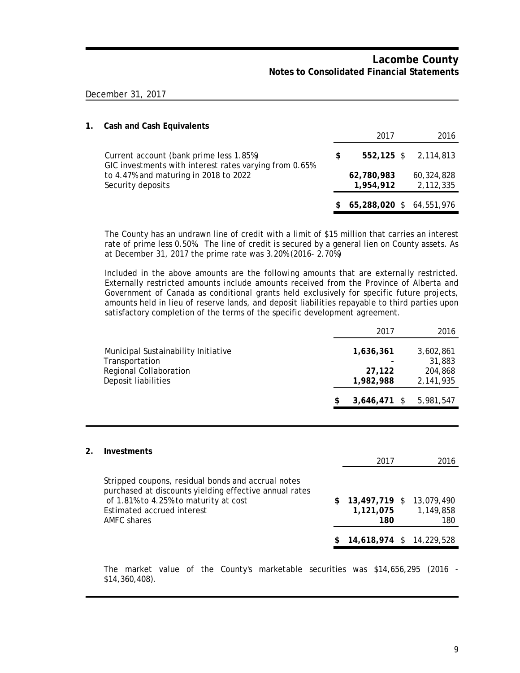### December 31, 2017

**2. Investments** 

| <b>Cash and Cash Equivalents</b>                                                                  |                          |                         |
|---------------------------------------------------------------------------------------------------|--------------------------|-------------------------|
|                                                                                                   | 2017                     | 2016                    |
| Current account (bank prime less 1.85%)<br>GIC investments with interest rates varying from 0.65% | \$                       | $552,125$ \$ 2,114,813  |
| to 4.47% and maturing in 2018 to 2022<br>Security deposits                                        | 62,780,983<br>1,954,912  | 60,324,828<br>2,112,335 |
|                                                                                                   | 65,288,020 \$ 64,551,976 |                         |

The County has an undrawn line of credit with a limit of \$15 million that carries an interest rate of prime less 0.50%. The line of credit is secured by a general lien on County assets. As at December 31, 2017 the prime rate was 3.20% (2016- 2.70%)

Included in the above amounts are the following amounts that are externally restricted. Externally restricted amounts include amounts received from the Province of Alberta and Government of Canada as conditional grants held exclusively for specific future projects, amounts held in lieu of reserve lands, and deposit liabilities repayable to third parties upon satisfactory completion of the terms of the specific development agreement.

|                                                                                                        | 2017                             | 2016                                        |
|--------------------------------------------------------------------------------------------------------|----------------------------------|---------------------------------------------|
| Municipal Sustainability Initiative<br>Transportation<br>Regional Collaboration<br>Deposit liabilities | 1,636,361<br>27,122<br>1,982,988 | 3,602,861<br>31,883<br>204,868<br>2,141,935 |
|                                                                                                        | $3,646,471$ \$                   | 5,981,547                                   |
|                                                                                                        |                                  |                                             |
|                                                                                                        |                                  |                                             |
| Investments                                                                                            |                                  |                                             |

|                                                                                                                                                                                                    | 2017                               | 2016                       |
|----------------------------------------------------------------------------------------------------------------------------------------------------------------------------------------------------|------------------------------------|----------------------------|
| Stripped coupons, residual bonds and accrual notes<br>purchased at discounts yielding effective annual rates<br>of 1.81% to 4.25% to maturity at cost<br>Estimated accrued interest<br>AMFC shares | $$13,497,719$ $$13,079,490$<br>180 | 1,121,075 1,149,858<br>180 |
|                                                                                                                                                                                                    | $$14,618,974 \$14,229,528$         |                            |

The market value of the County's marketable securities was \$14,656,295 (2016 - \$14,360,408).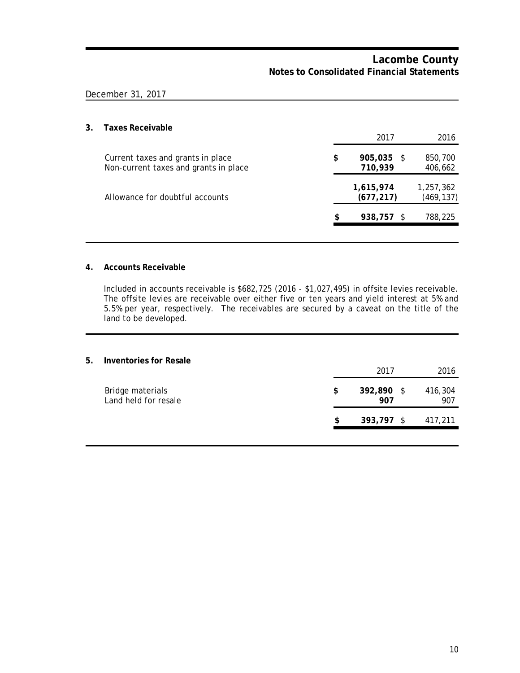## December 31, 2017

| 3. | <b>Taxes Receivable</b>                                                    |                               |                         |
|----|----------------------------------------------------------------------------|-------------------------------|-------------------------|
|    |                                                                            | 2017                          | 2016                    |
|    | Current taxes and grants in place<br>Non-current taxes and grants in place | \$<br>$905,035$ \$<br>710,939 | 850,700<br>406,662      |
|    | Allowance for doubtful accounts                                            | 1,615,974<br>(677, 217)       | 1,257,362<br>(469, 137) |
|    |                                                                            | \$<br>938,757                 | 788,225                 |
|    |                                                                            |                               |                         |

### **4. Accounts Receivable**

Included in accounts receivable is \$682,725 (2016 - \$1,027,495) in offsite levies receivable. The offsite levies are receivable over either five or ten years and yield interest at 5% and 5.5% per year, respectively. The receivables are secured by a caveat on the title of the land to be developed.

### **5. Inventories for Resale**

|                                          |    | 2017              | 2016           |
|------------------------------------------|----|-------------------|----------------|
| Bridge materials<br>Land held for resale | \$ | 392,890 \$<br>907 | 416,304<br>907 |
|                                          | S  | 393,797 \$        | 417,211        |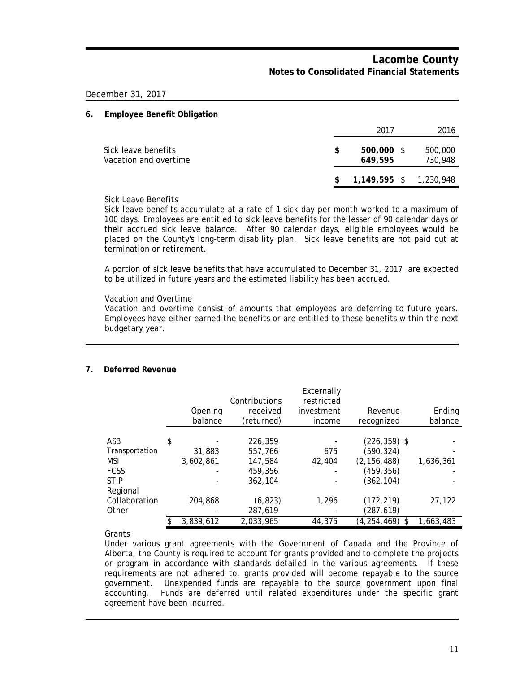December 31, 2017

### **6. Employee Benefit Obligation**

|                                              |    | 2017                      | 2016               |
|----------------------------------------------|----|---------------------------|--------------------|
| Sick leave benefits<br>Vacation and overtime | -S | $500,000$ \$<br>649,595   | 500,000<br>730,948 |
|                                              |    | $$1,149,595$ \$ 1,230,948 |                    |

### Sick Leave Benefits

Sick leave benefits accumulate at a rate of 1 sick day per month worked to a maximum of 100 days. Employees are entitled to sick leave benefits for the lesser of 90 calendar days or their accrued sick leave balance. After 90 calendar days, eligible employees would be placed on the County's long-term disability plan. Sick leave benefits are not paid out at termination or retirement.

A portion of sick leave benefits that have accumulated to December 31, 2017 are expected to be utilized in future years and the estimated liability has been accrued.

## Vacation and Overtime

Vacation and overtime consist of amounts that employees are deferring to future years. Employees have either earned the benefits or are entitled to these benefits within the next budgetary year.

### **7. Deferred Revenue**

|                | Opening<br>balance | Contributions<br>received<br>(returned) | Externally<br>restricted<br>investment<br>income | Revenue<br>recognized | Ending<br>balance |
|----------------|--------------------|-----------------------------------------|--------------------------------------------------|-----------------------|-------------------|
|                |                    |                                         |                                                  |                       |                   |
| ASB            | \$                 | 226.359                                 |                                                  | $(226, 359)$ \$       |                   |
| Transportation | 31,883             | 557,766                                 | 675                                              | (590, 324)            |                   |
| <b>MSI</b>     | 3,602,861          | 147.584                                 | 42,404                                           | (2, 156, 488)         | 1,636,361         |
| <b>FCSS</b>    |                    | 459,356                                 |                                                  | (459, 356)            |                   |
| <b>STIP</b>    |                    | 362,104                                 |                                                  | (362, 104)            |                   |
| Regional       |                    |                                         |                                                  |                       |                   |
| Collaboration  | 204,868            | (6, 823)                                | 1,296                                            | (172, 219)            | 27,122            |
| Other          |                    | 287,619                                 |                                                  | (287, 619)            |                   |
|                | 3.839.612          | 2,033,965                               | 44,375                                           | (4,254,469)<br>\$     | 1,663,483         |

Grants

Under various grant agreements with the Government of Canada and the Province of Alberta, the County is required to account for grants provided and to complete the projects or program in accordance with standards detailed in the various agreements. If these requirements are not adhered to, grants provided will become repayable to the source government. Unexpended funds are repayable to the source government upon final accounting. Funds are deferred until related expenditures under the specific grant agreement have been incurred.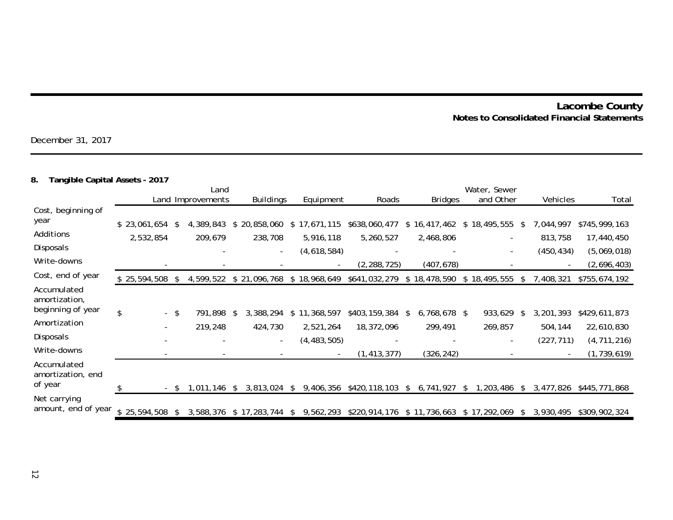December 31, 2017

# **8. Tangible Capital Assets - 2017**

|                                                   |                          |      | Land              |                           |                  | Water, Sewer                            |    |                |     |                          |    |                          |               |
|---------------------------------------------------|--------------------------|------|-------------------|---------------------------|------------------|-----------------------------------------|----|----------------|-----|--------------------------|----|--------------------------|---------------|
|                                                   |                          |      | Land Improvements | <b>Buildings</b>          | Equipment        | Roads                                   |    | <b>Bridges</b> |     | and Other                |    | Vehicles                 | Total         |
| Cost, beginning of                                |                          |      |                   |                           |                  |                                         |    |                |     |                          |    |                          |               |
| year                                              | $$23,061,654$ \$         |      | 4,389,843         | \$20,858,060              | \$17,671,115     | \$638,060,477                           |    | \$16,417,462   | \$  | 18,495,555               | -S | 7,044,997                | \$745,999,163 |
| Additions                                         | 2,532,854                |      | 209,679           | 238,708                   | 5,916,118        | 5,260,527                               |    | 2,468,806      |     |                          |    | 813,758                  | 17,440,450    |
| Disposals                                         |                          |      |                   | $\sim$                    | (4,618,584)      |                                         |    |                |     | $\overline{\phantom{a}}$ |    | (450, 434)               | (5,069,018)   |
| Write-downs                                       |                          |      |                   |                           |                  | (2, 288, 725)                           |    | (407, 678)     |     |                          |    |                          | (2,696,403)   |
| Cost, end of year                                 | \$25,594,508             | -S   | 4,599,522         | \$21,096,768              | \$18,968,649     | \$641,032,279                           |    | \$18,478,590   | \$  | 18,495,555               | -S | 7,408,321                | \$755,674,192 |
| Accumulated<br>amortization,<br>beginning of year |                          |      |                   |                           |                  |                                         |    |                |     |                          |    |                          |               |
|                                                   | \$                       | - \$ | 791,898           | 3,388,294<br>\$.          | \$<br>11,368,597 | \$403,159,384                           | S. | 6,768,678 \$   |     | 933,629                  | -S | 3,201,393                | \$429,611,873 |
| Amortization                                      | $\overline{\phantom{a}}$ |      | 219,248           | 424,730                   | 2,521,264        | 18,372,096                              |    | 299,491        |     | 269,857                  |    | 504,144                  | 22,610,830    |
| Disposals                                         |                          |      |                   | $\sim$                    | (4, 483, 505)    |                                         |    |                |     |                          |    | (227, 711)               | (4, 711, 216) |
| Write-downs                                       |                          |      |                   |                           |                  | (1, 413, 377)                           |    | (326, 242)     |     |                          |    | $\overline{\phantom{a}}$ | (1, 739, 619) |
| Accumulated<br>amortization, end<br>of year       |                          |      |                   |                           |                  |                                         |    |                |     |                          |    |                          |               |
|                                                   |                          | - \$ | 1,011,146         | 3,813,024                 | \$<br>9,406,356  | \$420,118,103                           | \$ | 6,741,927      | -\$ | , 203, 486               | \$ | 3,477,826                | \$445,771,868 |
| Net carrying<br>amount, end of year               | \$25,594,508             |      |                   | 3,588,376 \$17,283,744 \$ | 9,562,293        | \$220,914,176 \$11,736,663 \$17,292,069 |    |                |     |                          | -S | 3,930,495                | \$309,902,324 |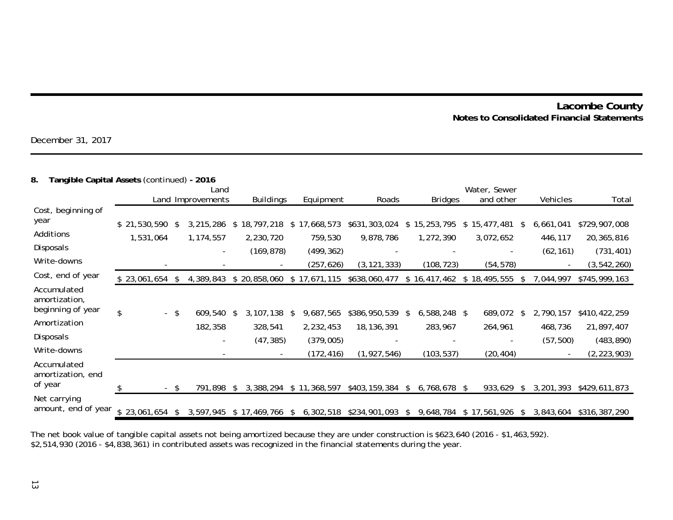December 31, 2017

### **8. Tangible Capital Assets** (continued) **- 2016**

|                                             |                  | Land          |                   |     |                  |    |              |               |    | Water, Sewer             |    |               |    |           |               |
|---------------------------------------------|------------------|---------------|-------------------|-----|------------------|----|--------------|---------------|----|--------------------------|----|---------------|----|-----------|---------------|
|                                             |                  |               | Land Improvements |     | <b>Buildings</b> |    | Equipment    | Roads         |    | <b>Bridges</b>           |    | and other     |    | Vehicles  | Total         |
| Cost, beginning of<br>year                  |                  |               |                   |     |                  |    |              |               |    |                          |    |               |    |           |               |
|                                             | \$21,530,590     | $\mathcal{S}$ | 3,215,286         |     | \$18,797,218     | \$ | 17,668,573   | \$631,303,024 | \$ | 15,253,795               | \$ | 15,477,481 \$ |    | 6,661,041 | \$729,907,008 |
| Additions                                   | 1,531,064        |               | 1,174,557         |     | 2,230,720        |    | 759,530      | 9,878,786     |    | 1,272,390                |    | 3,072,652     |    | 446,117   | 20,365,816    |
| Disposals                                   |                  |               |                   |     | (169, 878)       |    | (499, 362)   |               |    |                          |    |               |    | (62, 161) | (731, 401)    |
| Write-downs                                 |                  |               |                   |     |                  |    | (257, 626)   | (3, 121, 333) |    | (108, 723)               |    | (54, 578)     |    |           | (3, 542, 260) |
| Cost, end of year                           | \$23,061,654     | - \$          | 4,389,843         |     | \$20,858,060     |    | \$17,671,115 | \$638,060,477 |    | \$16,417,462             | \$ | 18,495,555    | -S | 7,044,997 | \$745,999,163 |
| Accumulated<br>amortization,                |                  |               |                   |     |                  |    |              |               |    |                          |    |               |    |           |               |
| beginning of year                           | \$               | $-5$          | 609,540           | \$. | 3,107,138        | S  | 9,687,565    | \$386,950,539 | \$ | $6,588,248$ \$           |    | 689,072       | -S | 2,790,157 | \$410,422,259 |
| Amortization                                |                  |               | 182,358           |     | 328,541          |    | 2,232,453    | 18, 136, 391  |    | 283,967                  |    | 264,961       |    | 468,736   | 21,897,407    |
| Disposals                                   |                  |               |                   |     | (47, 385)        |    | (379,005)    |               |    | $\overline{\phantom{a}}$ |    |               |    | (57, 500) | (483, 890)    |
| Write-downs                                 |                  |               |                   |     |                  |    | (172, 416)   | (1, 927, 546) |    | (103, 537)               |    | (20, 404)     |    |           | (2, 223, 903) |
| Accumulated<br>amortization, end<br>of year |                  |               |                   |     |                  |    |              |               |    |                          |    |               |    |           |               |
|                                             |                  | - \$          | 791,898           | S.  | 3,388,294        |    | \$11,368,597 | \$403,159,384 | \$ | 6,768,678 \$             |    | 933,629       | -S | 3,201,393 | \$429,611,873 |
| Net carrying<br>amount, end of year         | $$23,061,654$ \$ |               | 3,597,945         |     | \$17,469,766     | \$ | 6,302,518    | \$234,901,093 | \$ | 9,648,784                |    | \$17,561,926  | -S | 3,843,604 | \$316,387,290 |

The net book value of tangible capital assets not being amortized because they are under construction is \$623,640 (2016 - \$1,463,592). \$2,514,930 (2016 - \$4,838,361) in contributed assets was recognized in the financial statements during the year.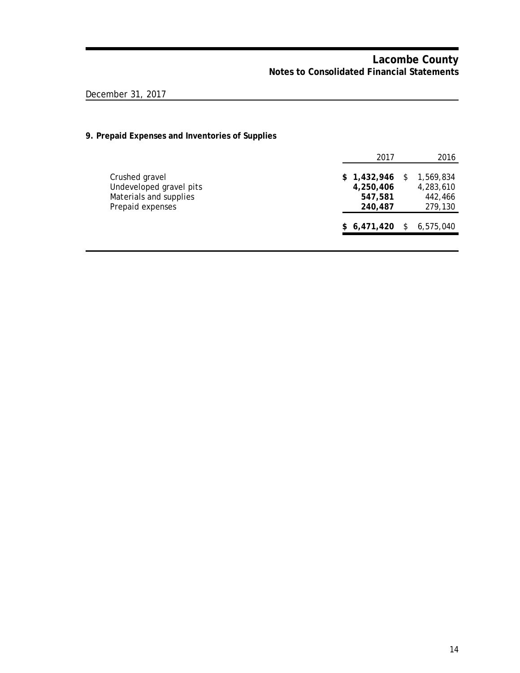# December 31, 2017

# **9. Prepaid Expenses and Inventories of Supplies**

|                                                                                         | 2017                                           | 2016                                         |
|-----------------------------------------------------------------------------------------|------------------------------------------------|----------------------------------------------|
| Crushed gravel<br>Undeveloped gravel pits<br>Materials and supplies<br>Prepaid expenses | \$1,432,946<br>4,250,406<br>547,581<br>240,487 | 1,569,834<br>4,283,610<br>442,466<br>279,130 |
|                                                                                         | $$6,471,420$ \$                                | 6,575,040                                    |
|                                                                                         |                                                |                                              |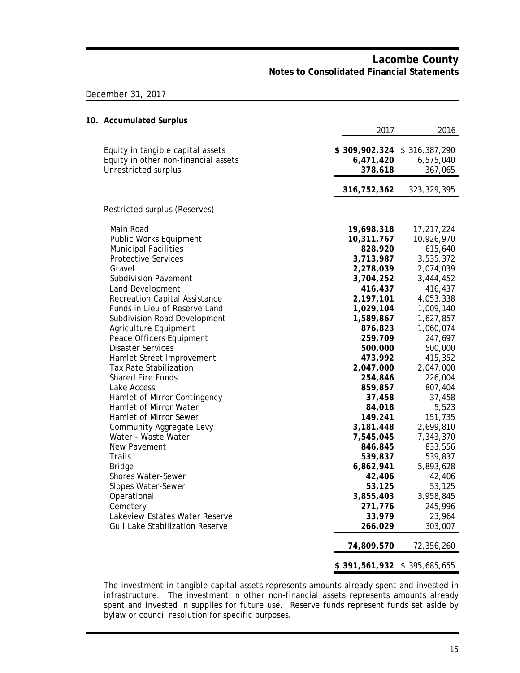December 31, 2017

| 10. Accumulated Surplus                                                  | 2017                        | 2016          |
|--------------------------------------------------------------------------|-----------------------------|---------------|
|                                                                          |                             |               |
| Equity in tangible capital assets                                        | \$309,902,324               | \$316,387,290 |
| Equity in other non-financial assets                                     | 6,471,420                   | 6,575,040     |
| Unrestricted surplus                                                     | 378,618                     | 367,065       |
|                                                                          | 316,752,362                 | 323, 329, 395 |
| Restricted surplus (Reserves)                                            |                             |               |
| Main Road                                                                | 19,698,318                  | 17,217,224    |
| Public Works Equipment                                                   | 10,311,767                  | 10,926,970    |
| <b>Municipal Facilities</b>                                              | 828,920                     | 615,640       |
| <b>Protective Services</b>                                               | 3,713,987                   | 3,535,372     |
| Gravel                                                                   | 2,278,039                   | 2,074,039     |
| <b>Subdivision Pavement</b>                                              | 3,704,252                   | 3,444,452     |
| Land Development                                                         | 416,437                     | 416,437       |
| Recreation Capital Assistance                                            | 2,197,101                   | 4,053,338     |
| Funds in Lieu of Reserve Land                                            | 1,029,104                   | 1,009,140     |
| Subdivision Road Development                                             | 1,589,867                   | 1,627,857     |
| Agriculture Equipment                                                    | 876,823                     | 1,060,074     |
| Peace Officers Equipment                                                 | 259,709                     | 247,697       |
| <b>Disaster Services</b>                                                 | 500,000                     | 500,000       |
| Hamlet Street Improvement                                                | 473,992                     | 415,352       |
| Tax Rate Stabilization                                                   | 2,047,000                   | 2,047,000     |
| <b>Shared Fire Funds</b>                                                 | 254,846                     | 226,004       |
| Lake Access                                                              | 859,857                     | 807,404       |
| Hamlet of Mirror Contingency                                             | 37,458                      | 37,458        |
| Hamlet of Mirror Water                                                   | 84,018                      | 5,523         |
| Hamlet of Mirror Sewer                                                   | 149,241                     | 151,735       |
| Community Aggregate Levy                                                 | 3,181,448                   | 2,699,810     |
| Water - Waste Water                                                      | 7,545,045                   | 7,343,370     |
| New Pavement                                                             | 846,845                     | 833,556       |
| Trails                                                                   | 539,837                     | 539,837       |
| Bridge                                                                   | 6,862,941                   | 5,893,628     |
| Shores Water-Sewer                                                       | 42,406                      | 42,406        |
| Slopes Water-Sewer                                                       | 53,125                      | 53,125        |
| Operational                                                              | 3,855,403                   | 3,958,845     |
| Cemetery                                                                 | 271,776                     | 245,996       |
| Lakeview Estates Water Reserve<br><b>Gull Lake Stabilization Reserve</b> | 33,979                      | 23,964        |
|                                                                          | 266,029                     | 303,007       |
|                                                                          | 74,809,570                  | 72,356,260    |
|                                                                          | \$391,561,932 \$395,685,655 |               |

The investment in tangible capital assets represents amounts already spent and invested in infrastructure. The investment in other non-financial assets represents amounts already spent and invested in supplies for future use. Reserve funds represent funds set aside by bylaw or council resolution for specific purposes.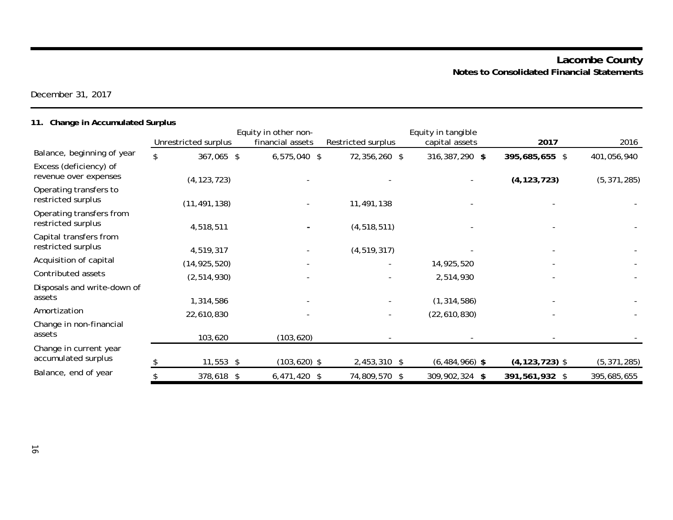December 31, 2017

# **11. Change in Accumulated Surplus**

|                                                 |     |                      | Equity in other non- |                    | Equity in tangible |                    |               |
|-------------------------------------------------|-----|----------------------|----------------------|--------------------|--------------------|--------------------|---------------|
|                                                 |     | Unrestricted surplus | financial assets     | Restricted surplus | capital assets     | 2017               | 2016          |
| Balance, beginning of year                      | \$. | 367,065 \$           | 6,575,040 \$         | 72,356,260 \$      | 316,387,290 \$     | 395,685,655 \$     | 401,056,940   |
| Excess (deficiency) of<br>revenue over expenses |     | (4, 123, 723)        |                      |                    |                    | (4, 123, 723)      | (5, 371, 285) |
| Operating transfers to<br>restricted surplus    |     | (11, 491, 138)       |                      | 11,491,138         |                    |                    |               |
| Operating transfers from<br>restricted surplus  |     | 4,518,511            |                      | (4, 518, 511)      |                    |                    |               |
| Capital transfers from<br>restricted surplus    |     | 4,519,317            |                      | (4, 519, 317)      |                    |                    |               |
| Acquisition of capital                          |     | (14, 925, 520)       |                      |                    | 14,925,520         |                    |               |
| Contributed assets                              |     | (2, 514, 930)        |                      |                    | 2,514,930          |                    |               |
| Disposals and write-down of                     |     |                      |                      |                    |                    |                    |               |
| assets                                          |     | 1,314,586            |                      |                    | (1, 314, 586)      |                    |               |
| Amortization                                    |     | 22,610,830           |                      |                    | (22,610,830)       |                    |               |
| Change in non-financial<br>assets               |     | 103,620              | (103, 620)           |                    |                    |                    |               |
| Change in current year<br>accumulated surplus   |     | $11,553$ \$          | $(103, 620)$ \$      | 2,453,310 \$       | $(6, 484, 966)$ \$ | $(4, 123, 723)$ \$ | (5, 371, 285) |
| Balance, end of year                            |     | 378,618 \$           | 6,471,420 \$         | 74,809,570 \$      | 309,902,324 \$     | 391,561,932 \$     | 395,685,655   |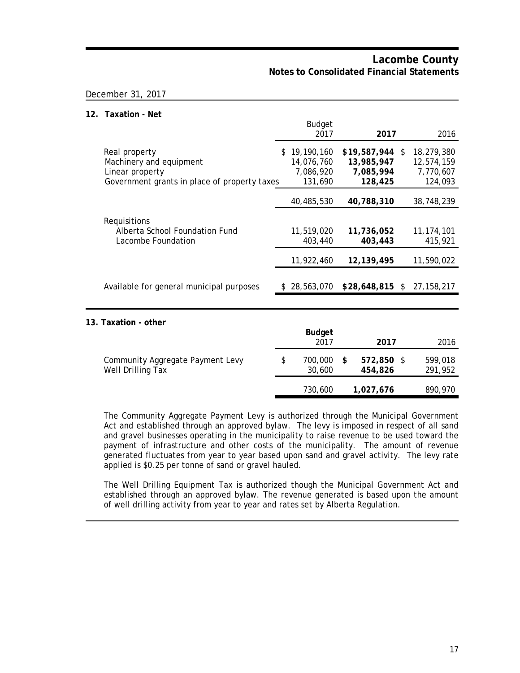## December 31, 2017

### **12. Taxation - Net**

|                                                                                                             | <b>Budget</b><br>2017                              | 2017                                                     | 2016                                             |
|-------------------------------------------------------------------------------------------------------------|----------------------------------------------------|----------------------------------------------------------|--------------------------------------------------|
| Real property<br>Machinery and equipment<br>Linear property<br>Government grants in place of property taxes | \$19,190,160<br>14,076,760<br>7,086,920<br>131,690 | \$19,587,944<br>S.<br>13,985,947<br>7,085,994<br>128,425 | 18,279,380<br>12,574,159<br>7,770,607<br>124,093 |
|                                                                                                             | 40,485,530                                         | 40,788,310                                               | 38,748,239                                       |
| Requisitions<br>Alberta School Foundation Fund<br>Lacombe Foundation                                        | 11,519,020<br>403,440                              | 11,736,052<br>403,443                                    | 11, 174, 101<br>415,921                          |
|                                                                                                             | 11,922,460                                         | 12,139,495                                               | 11,590,022                                       |
| Available for general municipal purposes                                                                    | 28,563,070                                         | $$28,648,815$ \$                                         | 27, 158, 217                                     |
| 13. Taxation - other                                                                                        | <b>Budget</b>                                      |                                                          |                                                  |
|                                                                                                             | 2017                                               | 2017                                                     | 2016                                             |
| Community Aggregate Payment Levy<br>Well Drilling Tax                                                       | \$<br>700,000<br>30,600                            | \$<br>572,850 \$<br>454,826                              | 599,018<br>291,952                               |
|                                                                                                             | 730,600                                            | 1,027,676                                                | 890,970                                          |

The Community Aggregate Payment Levy is authorized through the Municipal Government Act and established through an approved bylaw. The levy is imposed in respect of all sand and gravel businesses operating in the municipality to raise revenue to be used toward the payment of infrastructure and other costs of the municipality. The amount of revenue generated fluctuates from year to year based upon sand and gravel activity. The levy rate applied is \$0.25 per tonne of sand or gravel hauled.

The Well Drilling Equipment Tax is authorized though the Municipal Government Act and established through an approved bylaw. The revenue generated is based upon the amount of well drilling activity from year to year and rates set by Alberta Regulation.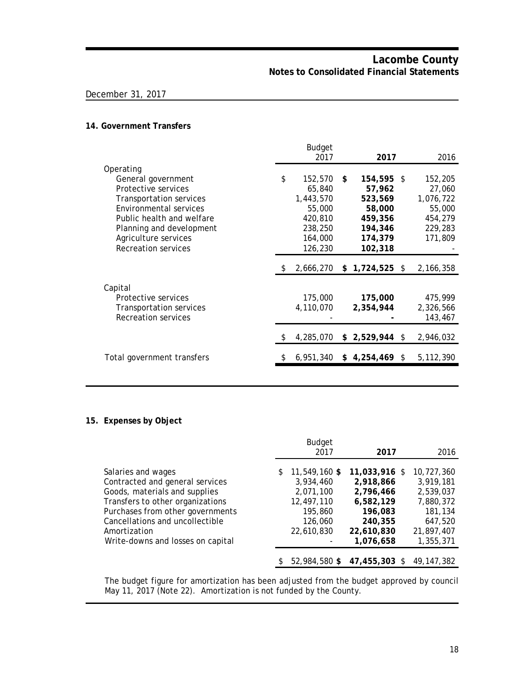## December 31, 2017

### **14. Government Transfers**

|                                |     | <b>Budget</b><br>2017 | 2017             |    | 2016        |
|--------------------------------|-----|-----------------------|------------------|----|-------------|
| Operating                      |     |                       |                  |    |             |
| General government             | \$  | 152,570               | \$<br>154,595 \$ |    | 152,205     |
| Protective services            |     | 65,840                | 57,962           |    | 27,060      |
| <b>Transportation services</b> |     | 1,443,570             | 523,569          |    | 1,076,722   |
| Environmental services         |     | 55,000                | 58,000           |    | 55,000      |
| Public health and welfare      |     | 420,810               | 459,356          |    | 454,279     |
| Planning and development       |     | 238,250               | 194,346          |    | 229,283     |
| Agriculture services           |     | 164,000               | 174,379          |    | 171,809     |
| Recreation services            |     | 126,230               | 102,318          |    |             |
|                                | \$. | 2,666,270             | $$1,724,525$ \$  |    | 2,166,358   |
|                                |     |                       |                  |    |             |
| Capital                        |     |                       |                  |    |             |
| Protective services            |     | 175,000               | 175,000          |    | 475,999     |
| <b>Transportation services</b> |     | 4,110,070             | 2,354,944        |    | 2,326,566   |
| Recreation services            |     |                       |                  |    | 143,467     |
|                                |     |                       |                  |    |             |
|                                | S   | 4,285,070             | $$2,529,944$ \$  |    | 2,946,032   |
|                                |     |                       |                  |    |             |
| Total government transfers     | S   | 6,951,340             | \$<br>4,254,469  | S. | 5, 112, 390 |
|                                |     |                       |                  |    |             |

## **15. Expenses by Object**

|                                                                                                                                                                                                                                                        |   | <b>Budget</b>                                                                             |                                                                                                       |                                                                                                    |
|--------------------------------------------------------------------------------------------------------------------------------------------------------------------------------------------------------------------------------------------------------|---|-------------------------------------------------------------------------------------------|-------------------------------------------------------------------------------------------------------|----------------------------------------------------------------------------------------------------|
|                                                                                                                                                                                                                                                        |   | 2017                                                                                      | 2017                                                                                                  | 2016                                                                                               |
| Salaries and wages<br>Contracted and general services<br>Goods, materials and supplies<br>Transfers to other organizations<br>Purchases from other governments<br>Cancellations and uncollectible<br>Amortization<br>Write-downs and losses on capital | S | 11,549,160 \$<br>3,934,460<br>2,071,100<br>12,497,110<br>195,860<br>126,060<br>22,610,830 | 11,033,916 \$<br>2,918,866<br>2,796,466<br>6,582,129<br>196,083<br>240,355<br>22,610,830<br>1,076,658 | 10,727,360<br>3,919,181<br>2,539,037<br>7,880,372<br>181,134<br>647,520<br>21,897,407<br>1,355,371 |
|                                                                                                                                                                                                                                                        |   | 52.984.580 \$                                                                             | 47,455,303 \$                                                                                         | 49, 147, 382                                                                                       |

The budget figure for amortization has been adjusted from the budget approved by council May 11, 2017 (Note 22). Amortization is not funded by the County.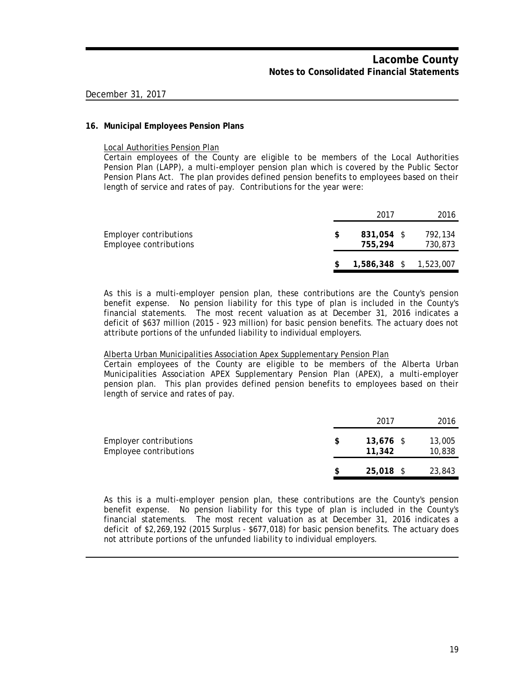### **16. Municipal Employees Pension Plans**

Local Authorities Pension Plan

Certain employees of the County are eligible to be members of the Local Authorities Pension Plan (LAPP), a multi-employer pension plan which is covered by the Public Sector Pension Plans Act. The plan provides defined pension benefits to employees based on their length of service and rates of pay. Contributions for the year were:

|                                                  | 2017                  | 2016                   |
|--------------------------------------------------|-----------------------|------------------------|
| Employer contributions<br>Employee contributions | 831,054 \$<br>755,294 | 792.134<br>730,873     |
|                                                  |                       | 1,586,348 \$ 1,523,007 |

As this is a multi-employer pension plan, these contributions are the County's pension benefit expense. No pension liability for this type of plan is included in the County's financial statements. The most recent valuation as at December 31, 2016 indicates a deficit of \$637 million (2015 - 923 million) for basic pension benefits. The actuary does not attribute portions of the unfunded liability to individual employers.

### Alberta Urban Municipalities Association Apex Supplementary Pension Plan

Certain employees of the County are eligible to be members of the Alberta Urban Municipalities Association APEX Supplementary Pension Plan (APEX), a multi-employer pension plan. This plan provides defined pension benefits to employees based on their length of service and rates of pay.

|                                                  |   | 2017                  | 2016             |
|--------------------------------------------------|---|-----------------------|------------------|
| Employer contributions<br>Employee contributions | S | $13,676$ \$<br>11,342 | 13,005<br>10,838 |
|                                                  |   | $25,018$ \$           | 23,843           |

As this is a multi-employer pension plan, these contributions are the County's pension benefit expense. No pension liability for this type of plan is included in the County's financial statements. The most recent valuation as at December 31, 2016 indicates a deficit of \$2,269,192 (2015 Surplus - \$677,018) for basic pension benefits. The actuary does not attribute portions of the unfunded liability to individual employers.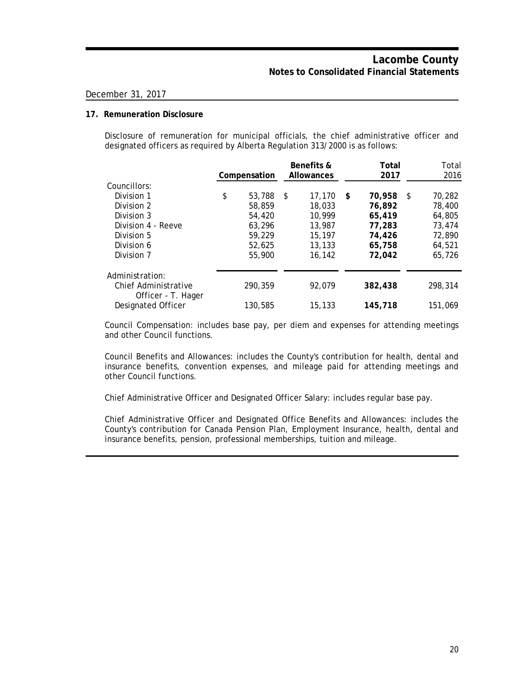### **17. Remuneration Disclosure**

Disclosure of remuneration for municipal officials, the chief administrative officer and designated officers as required by Alberta Regulation 313/2000 is as follows:

|                                            |              |         |    | Benefits &        |      | Total   |    | Total   |  |
|--------------------------------------------|--------------|---------|----|-------------------|------|---------|----|---------|--|
|                                            | Compensation |         |    | <b>Allowances</b> | 2017 |         |    | 2016    |  |
| Councillors:                               |              |         |    |                   |      |         |    |         |  |
| Division 1                                 | \$           | 53,788  | -S | 17,170            | \$   | 70,958  | \$ | 70.282  |  |
| Division 2                                 |              | 58,859  |    | 18,033            |      | 76,892  |    | 78,400  |  |
| Division 3                                 |              | 54,420  |    | 10,999            |      | 65,419  |    | 64,805  |  |
| Division 4 - Reeve                         |              | 63.296  |    | 13,987            |      | 77,283  |    | 73,474  |  |
| Division 5                                 |              | 59,229  |    | 15,197            |      | 74,426  |    | 72,890  |  |
| Division 6                                 |              | 52,625  |    | 13,133            |      | 65,758  |    | 64,521  |  |
| Division 7                                 |              | 55,900  |    | 16.142            |      | 72,042  |    | 65,726  |  |
| Administration:                            |              |         |    |                   |      |         |    |         |  |
| Chief Administrative<br>Officer - T. Hager |              | 290,359 |    | 92,079            |      | 382,438 |    | 298,314 |  |
| Designated Officer                         |              | 130,585 |    | 15,133            |      | 145,718 |    | 151.069 |  |

Council Compensation: includes base pay, per diem and expenses for attending meetings and other Council functions.

Council Benefits and Allowances: includes the County's contribution for health, dental and insurance benefits, convention expenses, and mileage paid for attending meetings and other Council functions.

Chief Administrative Officer and Designated Officer Salary: includes regular base pay.

Chief Administrative Officer and Designated Office Benefits and Allowances: includes the County's contribution for Canada Pension Plan, Employment Insurance, health, dental and insurance benefits, pension, professional memberships, tuition and mileage.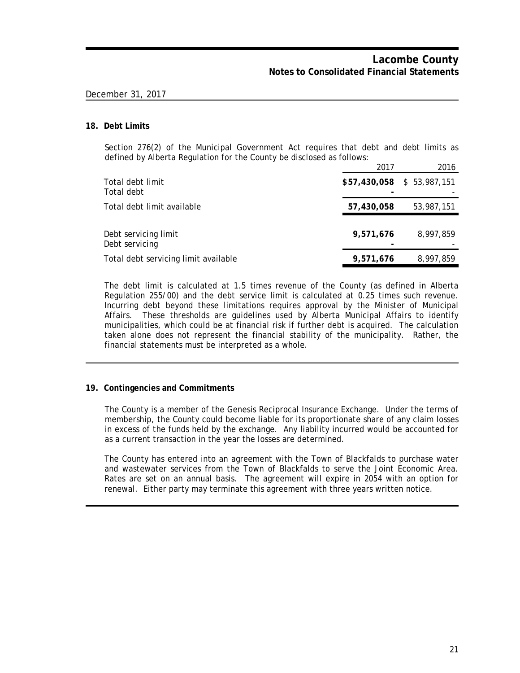### **18. Debt Limits**

Section 276(2) of the Municipal Government Act requires that debt and debt limits as defined by Alberta Regulation for the County be disclosed as follows:

|                                        | 2017                        | 2016       |
|----------------------------------------|-----------------------------|------------|
| Total debt limit<br>Total debt         | $$57,430,058$ $$53,987,151$ |            |
| Total debt limit available             | 57,430,058                  | 53,987,151 |
| Debt servicing limit<br>Debt servicing | 9,571,676                   | 8.997.859  |
| Total debt servicing limit available   | 9,571,676                   | 8,997,859  |

The debt limit is calculated at 1.5 times revenue of the County (as defined in Alberta Regulation 255/00) and the debt service limit is calculated at 0.25 times such revenue. Incurring debt beyond these limitations requires approval by the Minister of Municipal Affairs. These thresholds are guidelines used by Alberta Municipal Affairs to identify municipalities, which could be at financial risk if further debt is acquired. The calculation taken alone does not represent the financial stability of the municipality. Rather, the financial statements must be interpreted as a whole.

### **19. Contingencies and Commitments**

The County is a member of the Genesis Reciprocal Insurance Exchange. Under the terms of membership, the County could become liable for its proportionate share of any claim losses in excess of the funds held by the exchange. Any liability incurred would be accounted for as a current transaction in the year the losses are determined.

The County has entered into an agreement with the Town of Blackfalds to purchase water and wastewater services from the Town of Blackfalds to serve the Joint Economic Area. Rates are set on an annual basis. The agreement will expire in 2054 with an option for renewal. Either party may terminate this agreement with three years written notice.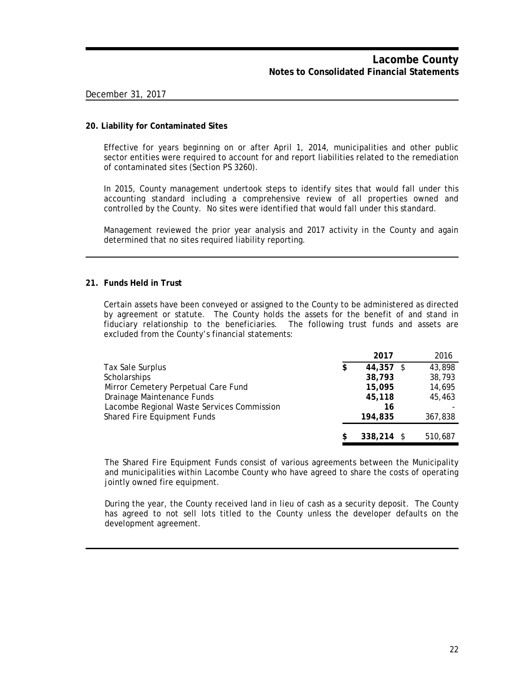### **20. Liability for Contaminated Sites**

Effective for years beginning on or after April 1, 2014, municipalities and other public sector entities were required to account for and report liabilities related to the remediation of contaminated sites (Section PS 3260).

In 2015, County management undertook steps to identify sites that would fall under this accounting standard including a comprehensive review of all properties owned and controlled by the County. No sites were identified that would fall under this standard.

Management reviewed the prior year analysis and 2017 activity in the County and again determined that no sites required liability reporting.

### **21. Funds Held in Trust**

Certain assets have been conveyed or assigned to the County to be administered as directed by agreement or statute. The County holds the assets for the benefit of and stand in fiduciary relationship to the beneficiaries. The following trust funds and assets are excluded from the County's financial statements:

|                                            | 2017            | 2016    |
|--------------------------------------------|-----------------|---------|
| Tax Sale Surplus                           | \$<br>44,357 \$ | 43,898  |
| Scholarships                               | 38,793          | 38,793  |
| Mirror Cemetery Perpetual Care Fund        | 15,095          | 14,695  |
| Drainage Maintenance Funds                 | 45,118          | 45,463  |
| Lacombe Regional Waste Services Commission | 16              |         |
| Shared Fire Equipment Funds                | 194,835         | 367,838 |
|                                            | $338.214$ \$    | 510.687 |
|                                            |                 |         |

The Shared Fire Equipment Funds consist of various agreements between the Municipality and municipalities within Lacombe County who have agreed to share the costs of operating jointly owned fire equipment.

During the year, the County received land in lieu of cash as a security deposit. The County has agreed to not sell lots titled to the County unless the developer defaults on the development agreement.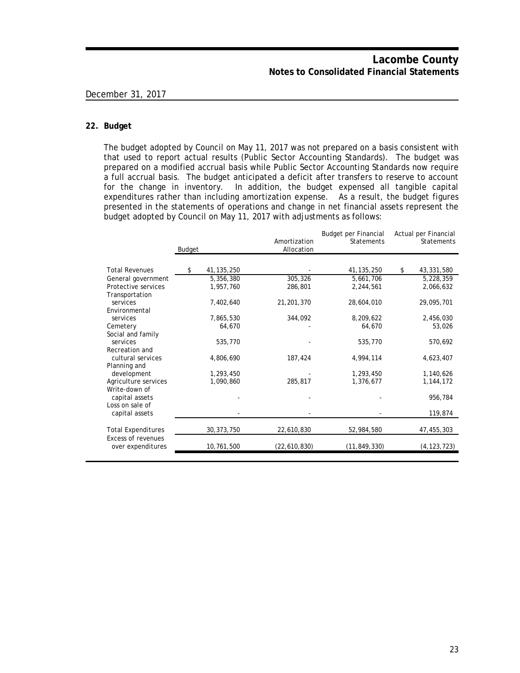### **22. Budget**

The budget adopted by Council on May 11, 2017 was not prepared on a basis consistent with that used to report actual results (Public Sector Accounting Standards). The budget was prepared on a modified accrual basis while Public Sector Accounting Standards now require a full accrual basis. The budget anticipated a deficit after transfers to reserve to account for the change in inventory. In addition, the budget expensed all tangible capital expenditures rather than including amortization expense. As a result, the budget figures presented in the statements of operations and change in net financial assets represent the budget adopted by Council on May 11, 2017 with adjustments as follows:

|                                         | Budget |              | Amortization<br>Allocation | Budget per Financial<br>Statements | Actual per Financial<br><b>Statements</b> |
|-----------------------------------------|--------|--------------|----------------------------|------------------------------------|-------------------------------------------|
| <b>Total Revenues</b>                   | \$     | 41, 135, 250 |                            | 41, 135, 250                       | \$<br>43,331,580                          |
| General government                      |        | 5,356,380    | 305,326                    | 5,661,706                          | 5,228,359                                 |
| Protective services<br>Transportation   |        | 1,957,760    | 286,801                    | 2,244,561                          | 2,066,632                                 |
| services                                |        | 7,402,640    | 21,201,370                 | 28,604,010                         | 29,095,701                                |
| Environmental                           |        |              |                            |                                    |                                           |
| services                                |        | 7,865,530    | 344,092                    | 8,209,622                          | 2,456,030                                 |
| Cemetery                                |        | 64,670       |                            | 64,670                             | 53,026                                    |
| Social and family<br>services           |        | 535,770      |                            | 535,770                            | 570,692                                   |
| Recreation and                          |        |              |                            |                                    |                                           |
| cultural services                       |        | 4,806,690    | 187,424                    | 4,994,114                          | 4,623,407                                 |
| Planning and                            |        |              |                            |                                    |                                           |
| development                             |        | 1,293,450    |                            | 1,293,450                          | 1,140,626                                 |
| Agriculture services                    |        | 1,090,860    | 285,817                    | 1,376,677                          | 1,144,172                                 |
| Write-down of<br>capital assets         |        |              |                            |                                    | 956,784                                   |
| Loss on sale of<br>capital assets       |        |              |                            |                                    | 119,874                                   |
| <b>Total Expenditures</b>               |        | 30, 373, 750 | 22,610,830                 | 52,984,580                         | 47,455,303                                |
| Excess of revenues<br>over expenditures |        | 10,761,500   | (22,610,830)               | (11, 849, 330)                     | (4, 123, 723)                             |
|                                         |        |              |                            |                                    |                                           |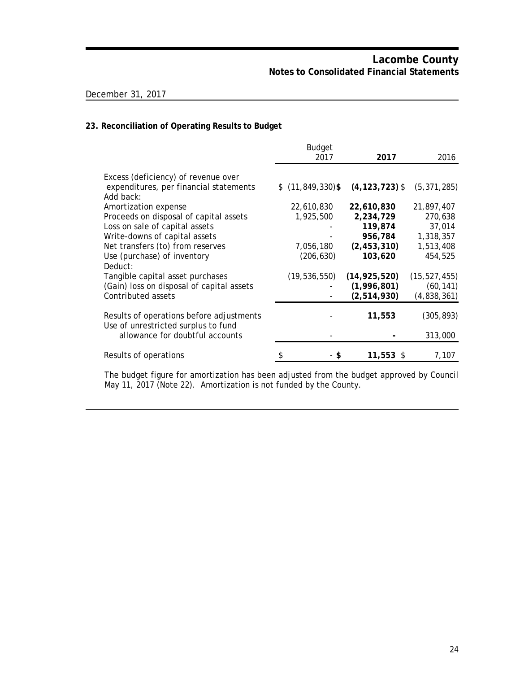## **23. Reconciliation of Operating Results to Budget**

|                                                                                 | <b>Budget</b><br>2017 | 2017               | 2016           |
|---------------------------------------------------------------------------------|-----------------------|--------------------|----------------|
| Excess (deficiency) of revenue over                                             |                       |                    |                |
| expenditures, per financial statements<br>Add back:                             | $$(11, 849, 330)$ \$  | $(4, 123, 723)$ \$ | (5, 371, 285)  |
| Amortization expense                                                            | 22,610,830            | 22,610,830         | 21,897,407     |
| Proceeds on disposal of capital assets                                          | 1,925,500             | 2,234,729          | 270,638        |
| Loss on sale of capital assets                                                  |                       | 119,874            | 37,014         |
| Write-downs of capital assets                                                   |                       | 956,784            | 1,318,357      |
| Net transfers (to) from reserves                                                | 7,056,180             | (2, 453, 310)      | 1,513,408      |
| Use (purchase) of inventory                                                     | (206, 630)            | 103,620            | 454,525        |
| Deduct:                                                                         |                       |                    |                |
| Tangible capital asset purchases                                                | (19, 536, 550)        | (14, 925, 520)     | (15, 527, 455) |
| (Gain) loss on disposal of capital assets                                       |                       | (1,996,801)        | (60, 141)      |
| Contributed assets                                                              |                       | (2,514,930)        | (4,838,361)    |
| Results of operations before adjustments<br>Use of unrestricted surplus to fund |                       | 11,553             | (305, 893)     |
| allowance for doubtful accounts                                                 |                       |                    | 313,000        |
| Results of operations                                                           | - S                   | 11,553 \$          | 7,107          |

The budget figure for amortization has been adjusted from the budget approved by Council May 11, 2017 (Note 22). Amortization is not funded by the County.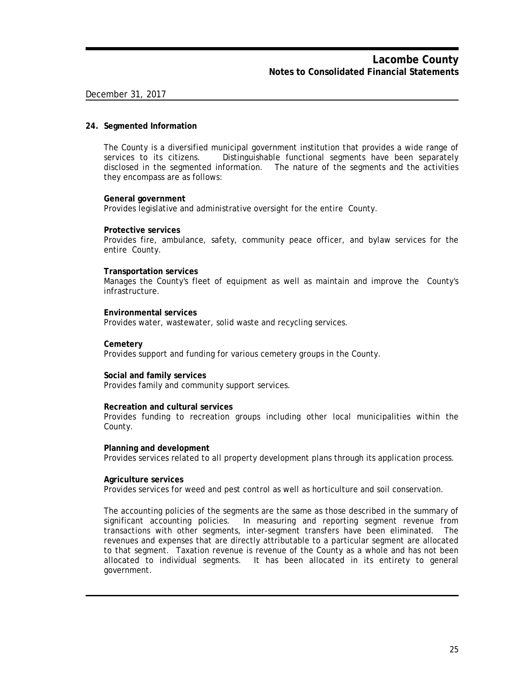### **24. Segmented Information**

The County is a diversified municipal government institution that provides a wide range of services to its citizens. Distinguishable functional segments have been separately disclosed in the segmented information. The nature of the segments and the activities they encompass are as follows:

### **General government**

Provides legislative and administrative oversight for the entire County.

### **Protective services**

Provides fire, ambulance, safety, community peace officer, and bylaw services for the entire County.

### **Transportation services**

Manages the County's fleet of equipment as well as maintain and improve the County's infrastructure.

### **Environmental services**

Provides water, wastewater, solid waste and recycling services.

### **Cemetery**

Provides support and funding for various cemetery groups in the County.

### **Social and family services**

Provides family and community support services.

### **Recreation and cultural services**

Provides funding to recreation groups including other local municipalities within the County.

### **Planning and development**

Provides services related to all property development plans through its application process.

### **Agriculture services**

Provides services for weed and pest control as well as horticulture and soil conservation.

The accounting policies of the segments are the same as those described in the summary of significant accounting policies. In measuring and reporting segment revenue from transactions with other segments, inter-segment transfers have been eliminated. The revenues and expenses that are directly attributable to a particular segment are allocated to that segment. Taxation revenue is revenue of the County as a whole and has not been allocated to individual segments. It has been allocated in its entirety to general government.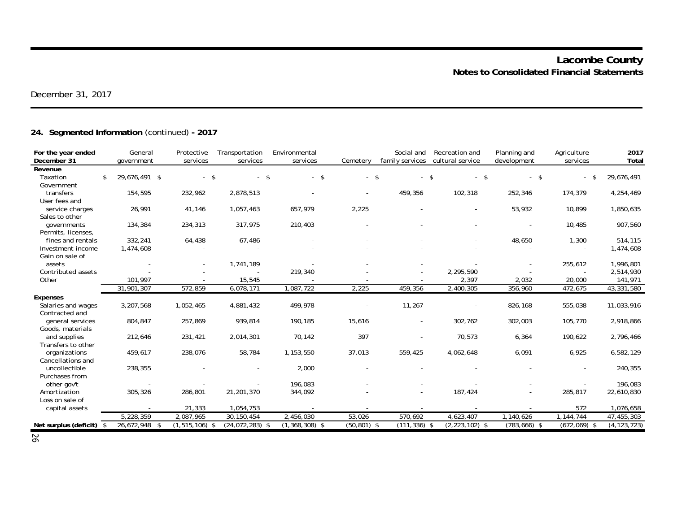# **24. Segmented Information** (continued) **- 2017**

| For the year ended<br>December 31 | General<br>government | Protective<br>services | Transportation<br>services | Environmental<br>services | Cemetery |                | Social and<br>family services | Recreation and<br>cultural service |      | Planning and<br>development | Agriculture<br>services  | 2017<br>Total |
|-----------------------------------|-----------------------|------------------------|----------------------------|---------------------------|----------|----------------|-------------------------------|------------------------------------|------|-----------------------------|--------------------------|---------------|
| Revenue                           |                       |                        |                            |                           |          |                |                               |                                    |      |                             |                          |               |
| Taxation                          | \$<br>29,676,491 \$   | $-5$                   | $-5$                       | $-5$                      |          | $-5$           | $\sim$                        | - \$                               | $-5$ | $-5$                        | \$<br>$\sim$             | 29,676,491    |
| Government                        |                       |                        |                            |                           |          |                |                               |                                    |      |                             |                          |               |
| transfers                         | 154,595               | 232,962                | 2,878,513                  |                           |          |                | 459,356                       | 102,318                            |      | 252,346                     | 174,379                  | 4,254,469     |
| User fees and                     |                       |                        |                            |                           |          |                |                               |                                    |      |                             |                          |               |
| service charges                   | 26,991                | 41,146                 | 1,057,463                  | 657,979                   |          | 2,225          |                               |                                    |      | 53,932                      | 10,899                   | 1,850,635     |
| Sales to other                    |                       |                        |                            |                           |          |                |                               |                                    |      |                             |                          |               |
| governments                       | 134,384               | 234,313                | 317,975                    | 210,403                   |          |                |                               |                                    |      |                             | 10,485                   | 907,560       |
| Permits, licenses,                |                       |                        |                            |                           |          |                |                               |                                    |      |                             |                          |               |
| fines and rentals                 | 332,241               | 64,438                 | 67,486                     |                           |          |                |                               |                                    |      | 48,650                      | 1,300                    | 514,115       |
| Investment income                 | 1,474,608             |                        |                            |                           |          |                |                               |                                    |      |                             | $\overline{\phantom{a}}$ | 1,474,608     |
| Gain on sale of                   |                       |                        |                            |                           |          |                |                               |                                    |      |                             |                          |               |
| assets                            |                       |                        | 1,741,189                  |                           |          |                |                               |                                    |      |                             | 255,612                  | 1,996,801     |
| Contributed assets                |                       |                        |                            | 219,340                   |          |                |                               | 2,295,590                          |      |                             |                          | 2,514,930     |
| Other                             | 101,997               |                        | 15,545                     |                           |          |                |                               | 2,397                              |      | 2,032                       | 20,000                   | 141,971       |
|                                   | 31,901,307            | 572,859                | 6,078,171                  | 1,087,722                 |          | 2,225          | 459,356                       | 2,400,305                          |      | 356,960                     | 472,675                  | 43,331,580    |
| <b>Expenses</b>                   |                       |                        |                            |                           |          |                |                               |                                    |      |                             |                          |               |
| Salaries and wages                | 3,207,568             | 1,052,465              | 4,881,432                  | 499,978                   |          |                | 11,267                        |                                    |      | 826,168                     | 555,038                  | 11,033,916    |
| Contracted and                    |                       |                        |                            |                           |          |                |                               |                                    |      |                             |                          |               |
| general services                  | 804,847               | 257,869                | 939,814                    | 190,185                   | 15,616   |                |                               | 302,762                            |      | 302,003                     | 105,770                  | 2,918,866     |
| Goods, materials                  |                       |                        |                            |                           |          |                |                               |                                    |      |                             |                          |               |
| and supplies                      | 212,646               | 231,421                | 2,014,301                  | 70,142                    |          | 397            |                               | 70,573                             |      | 6,364                       | 190,622                  | 2,796,466     |
| Transfers to other                |                       |                        |                            |                           |          |                |                               |                                    |      |                             |                          |               |
| organizations                     | 459,617               | 238,076                | 58,784                     | 1,153,550                 | 37,013   |                | 559,425                       | 4,062,648                          |      | 6,091                       | 6,925                    | 6,582,129     |
| Cancellations and                 |                       |                        |                            |                           |          |                |                               |                                    |      |                             |                          |               |
| uncollectible                     | 238,355               |                        |                            | 2,000                     |          |                |                               |                                    |      |                             |                          | 240,355       |
| Purchases from                    |                       |                        |                            |                           |          |                |                               |                                    |      |                             |                          |               |
| other gov't                       |                       |                        |                            | 196,083                   |          |                |                               |                                    |      |                             |                          | 196,083       |
| Amortization                      | 305,326               | 286,801                | 21,201,370                 | 344,092                   |          |                | $\sim$                        | 187,424                            |      |                             | 285,817                  | 22,610,830    |
| Loss on sale of                   |                       |                        |                            |                           |          |                |                               |                                    |      |                             |                          |               |
| capital assets                    | $\sim$                | 21,333                 | 1,054,753                  | $\sim$                    |          |                | $\overline{\phantom{a}}$      |                                    |      |                             | 572                      | 1,076,658     |
|                                   | 5,228,359             | 2,087,965              | 30, 150, 454               | 2,456,030                 | 53,026   |                | 570,692                       | 4,623,407                          |      | 1,140,626                   | 1, 144, 744              | 47,455,303    |
| Net surplus (deficit) $$$         | 26,672,948 \$         | (1, 515, 106)          | $(24, 072, 283)$ \$        | $(1,368,308)$ \$          |          | $(50, 801)$ \$ | $(111, 336)$ \$               | $(2, 223, 102)$ \$                 |      | $(783, 666)$ \$             | $(672,069)$ \$           | (4, 123, 723) |

26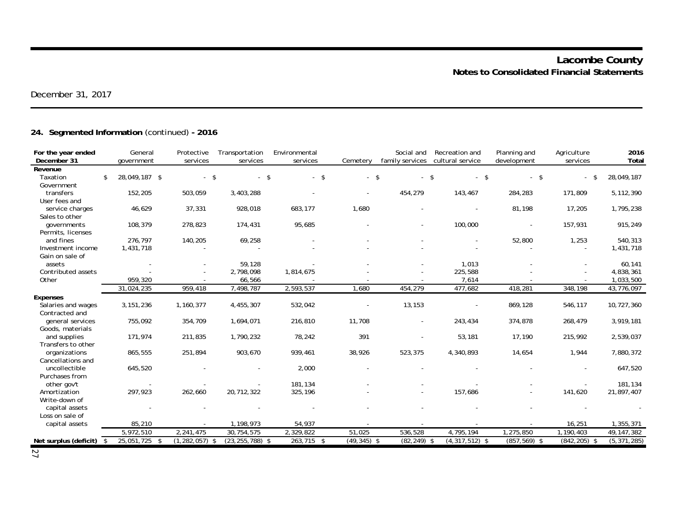# **24. Segmented Information** (continued) **- 2016**

| For the year ended<br>December 31 |                    | General<br>government | Protective<br>services | Transportation<br>services | Environmental<br>services | Cemetery       | Social and<br>family services | Recreation and<br>cultural service | Planning and<br>development | Agriculture<br>services | 2016<br>Total |
|-----------------------------------|--------------------|-----------------------|------------------------|----------------------------|---------------------------|----------------|-------------------------------|------------------------------------|-----------------------------|-------------------------|---------------|
| Revenue                           |                    |                       |                        |                            |                           |                |                               |                                    |                             |                         |               |
| Taxation                          | $\mathbf{\hat{S}}$ | 28,049,187 \$         | $-5$                   | $-5$                       | $-$ \$                    | $-5$           | $\mathbf{\hat{S}}$            | $-$ \$                             | $-5$                        | -\$                     | 28,049,187    |
| Government                        |                    |                       |                        |                            |                           |                |                               |                                    |                             |                         |               |
| transfers                         |                    | 152,205               | 503,059                | 3,403,288                  |                           |                | 454,279                       | 143,467                            | 284,283                     | 171,809                 | 5,112,390     |
| User fees and                     |                    |                       |                        |                            |                           |                |                               |                                    |                             |                         |               |
| service charges                   |                    | 46,629                | 37,331                 | 928,018                    | 683,177                   | 1,680          |                               |                                    | 81,198                      | 17,205                  | 1,795,238     |
| Sales to other                    |                    |                       |                        |                            |                           |                |                               |                                    |                             |                         |               |
| governments                       |                    | 108,379               | 278,823                | 174,431                    | 95,685                    |                |                               | 100,000                            |                             | 157,931                 | 915,249       |
| Permits, licenses                 |                    |                       |                        |                            |                           |                |                               |                                    |                             |                         |               |
| and fines                         |                    | 276,797               | 140,205                | 69,258                     |                           |                |                               |                                    | 52,800                      | 1,253                   | 540,313       |
| Investment income                 |                    | 1,431,718             |                        |                            |                           |                |                               |                                    |                             |                         | 1,431,718     |
| Gain on sale of                   |                    |                       |                        |                            |                           |                |                               |                                    |                             |                         |               |
| assets                            |                    |                       |                        | 59,128                     |                           |                |                               | 1,013                              |                             |                         | 60,141        |
| Contributed assets                |                    |                       |                        | 2,798,098                  | 1,814,675                 |                |                               | 225,588                            |                             |                         | 4,838,361     |
| Other                             |                    | 959,320               |                        | 66,566                     |                           |                |                               | 7,614                              |                             |                         | 1,033,500     |
|                                   |                    | 31,024,235            | 959,418                | 7,498,787                  | 2,593,537                 | 1,680          | 454,279                       | 477,682                            | 418,281                     | 348,198                 | 43,776,097    |
| <b>Expenses</b>                   |                    |                       |                        |                            |                           |                |                               |                                    |                             |                         |               |
| Salaries and wages                |                    | 3, 151, 236           | 1,160,377              | 4,455,307                  | 532,042                   |                | 13,153                        |                                    | 869,128                     | 546,117                 | 10,727,360    |
| Contracted and                    |                    |                       |                        |                            |                           |                |                               |                                    |                             |                         |               |
| general services                  |                    | 755,092               | 354,709                | 1,694,071                  | 216,810                   | 11,708         |                               | 243,434                            | 374,878                     | 268,479                 | 3,919,181     |
| Goods, materials                  |                    |                       |                        |                            |                           |                |                               |                                    |                             |                         |               |
| and supplies                      |                    | 171,974               | 211,835                | 1,790,232                  | 78,242                    | 391            |                               | 53,181                             | 17,190                      | 215,992                 | 2,539,037     |
| Transfers to other                |                    |                       |                        |                            |                           |                |                               |                                    |                             |                         |               |
| organizations                     |                    | 865,555               | 251,894                | 903,670                    | 939,461                   | 38,926         | 523,375                       | 4,340,893                          | 14,654                      | 1,944                   | 7,880,372     |
| Cancellations and                 |                    |                       |                        |                            |                           |                |                               |                                    |                             |                         |               |
| uncollectible                     |                    | 645,520               |                        |                            | 2,000                     |                |                               |                                    |                             |                         | 647,520       |
| Purchases from                    |                    |                       |                        |                            |                           |                |                               |                                    |                             |                         |               |
| other gov't                       |                    |                       |                        |                            | 181,134                   |                |                               |                                    |                             |                         | 181,134       |
| Amortization                      |                    | 297,923               | 262,660                | 20,712,322                 | 325,196                   |                |                               | 157,686                            |                             | 141,620                 | 21,897,407    |
| Write-down of                     |                    |                       |                        |                            |                           |                |                               |                                    |                             |                         |               |
| capital assets                    |                    |                       |                        |                            |                           |                |                               |                                    |                             |                         |               |
| Loss on sale of                   |                    |                       |                        |                            |                           |                |                               |                                    |                             |                         |               |
| capital assets                    |                    | 85,210                |                        | 1,198,973                  | 54,937                    |                |                               |                                    |                             | 16,251                  | 1,355,371     |
|                                   |                    | 5,972,510             | 2,241,475              | 30,754,575                 | 2,329,822                 | 51,025         | 536,528                       | 4,795,194                          | 1,275,850                   | 1,190,403               | 49, 147, 382  |
| Net surplus (deficit)             | \$                 | 25,051,725<br>-\$     | $(1, 282, 057)$ \$     | $(23, 255, 788)$ \$        | 263,715 \$                | $(49, 345)$ \$ | $(82, 249)$ \$                | $(4, 317, 512)$ \$                 | $(857, 569)$ \$             | $(842, 205)$ \$         | (5, 371, 285) |

27